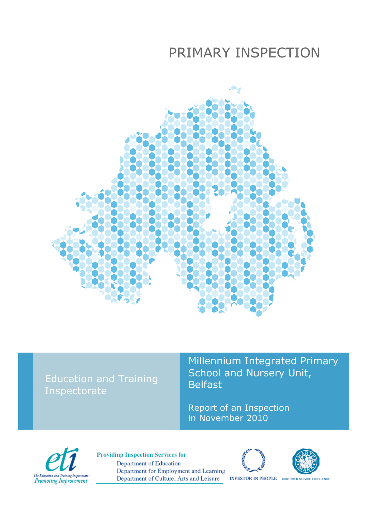# PRIMARY INSPECTION



## Education and Training Inspectorate

Millennium Integrated Primary School and Nursery Unit, Belfast

Report of an Inspection in November 2010



**Providing Inspection Services for** Department of Education Department for Employment and Learning Department of Culture, Arts and Leisure





**INVESTOR IN PEOPLE** CUSTOMER SERVICE EXCELLENCE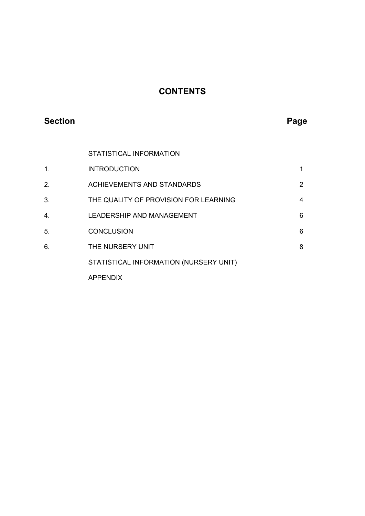## **CONTENTS**

## **Section Page 2018**

STATISTICAL INFORMATION

| 1 <sub>1</sub> | <b>INTRODUCTION</b>                    |                |
|----------------|----------------------------------------|----------------|
| 2.             | <b>ACHIEVEMENTS AND STANDARDS</b>      | $\overline{2}$ |
| 3.             | THE QUALITY OF PROVISION FOR LEARNING  | 4              |
| 4.             | LEADERSHIP AND MANAGEMENT              | 6              |
| 5.             | <b>CONCLUSION</b>                      | 6              |
| 6.             | THE NURSERY UNIT                       | 8              |
|                | STATISTICAL INFORMATION (NURSERY UNIT) |                |
|                | <b>APPENDIX</b>                        |                |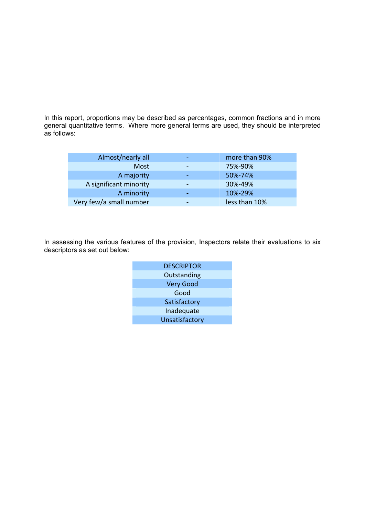In this report, proportions may be described as percentages, common fractions and in more general quantitative terms. Where more general terms are used, they should be interpreted as follows:

| Almost/nearly all       |                          | more than 90% |
|-------------------------|--------------------------|---------------|
| Most                    |                          | 75%-90%       |
| A majority              |                          | 50%-74%       |
| A significant minority  |                          | 30%-49%       |
| A minority              | $\overline{\phantom{a}}$ | 10%-29%       |
| Very few/a small number |                          | less than 10% |

In assessing the various features of the provision, Inspectors relate their evaluations to six descriptors as set out below:

| <b>DESCRIPTOR</b> |
|-------------------|
| Outstanding       |
| <b>Very Good</b>  |
| Good              |
| Satisfactory      |
| Inadequate        |
| Unsatisfactory    |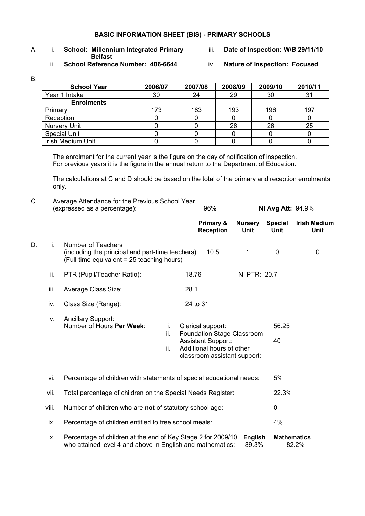#### **BASIC INFORMATION SHEET (BIS) - PRIMARY SCHOOLS**

## A. i. **School: Millennium Integrated Primary** iii. **Date of Inspection: W/B 29/11/10 Belfast**<br>**Belfast** ii. **School Referenc**

- 
- **School Reference Number: 406-6644** iv. Nature of Inspection: Focused
- 

B.

| <b>School Year</b>  | 2006/07 | 2007/08 | 2008/09 | 2009/10 | 2010/11 |
|---------------------|---------|---------|---------|---------|---------|
| Year 1 Intake       | 30      | 24      | 29      | 30      | 31      |
| <b>Enrolments</b>   |         |         |         |         |         |
| Primary             | 173     | 183     | 193     | 196     | 197     |
| Reception           |         |         |         |         |         |
| <b>Nursery Unit</b> |         |         | 26      | 26      | 25      |
| <b>Special Unit</b> |         |         |         |         |         |
| Irish Medium Unit   |         |         |         |         |         |

The enrolment for the current year is the figure on the day of notification of inspection. For previous years it is the figure in the annual return to the Department of Education.

 The calculations at C and D should be based on the total of the primary and reception enrolments only.

| C. |       | Average Attendance for the Previous School Year<br>(expressed as a percentage):                                              | 96%                                                                                                                                       |                         | <b>NI Avg Att: 94.9%</b>      |                             |
|----|-------|------------------------------------------------------------------------------------------------------------------------------|-------------------------------------------------------------------------------------------------------------------------------------------|-------------------------|-------------------------------|-----------------------------|
|    |       |                                                                                                                              | Primary &<br><b>Reception</b>                                                                                                             | <b>Nursery</b><br>Unit  | <b>Special</b><br><b>Unit</b> | <b>Irish Medium</b><br>Unit |
| D. | i.    | <b>Number of Teachers</b><br>(including the principal and part-time teachers):<br>(Full-time equivalent = 25 teaching hours) | 10.5                                                                                                                                      | 1                       | $\mathbf 0$                   | 0                           |
|    | ii.   | PTR (Pupil/Teacher Ratio):                                                                                                   | 18.76                                                                                                                                     | NI PTR: 20.7            |                               |                             |
|    | iii.  | Average Class Size:                                                                                                          | 28.1                                                                                                                                      |                         |                               |                             |
|    | iv.   | Class Size (Range):                                                                                                          | 24 to 31                                                                                                                                  |                         |                               |                             |
|    | v.    | <b>Ancillary Support:</b><br>Number of Hours Per Week:<br>i.<br>ii.<br>iii.                                                  | Clerical support:<br>Foundation Stage Classroom<br><b>Assistant Support:</b><br>Additional hours of other<br>classroom assistant support: |                         | 56.25<br>40                   |                             |
|    | vi.   | Percentage of children with statements of special educational needs:                                                         |                                                                                                                                           |                         | 5%                            |                             |
|    | vii.  | Total percentage of children on the Special Needs Register:                                                                  |                                                                                                                                           |                         | 22.3%                         |                             |
|    | viii. | Number of children who are not of statutory school age:                                                                      |                                                                                                                                           |                         | $\mathbf 0$                   |                             |
|    | ix.   | Percentage of children entitled to free school meals:                                                                        |                                                                                                                                           |                         | 4%                            |                             |
|    | Х.    | Percentage of children at the end of Key Stage 2 for 2009/10<br>who attained level 4 and above in English and mathematics:   |                                                                                                                                           | <b>English</b><br>89.3% | <b>Mathematics</b>            | 82.2%                       |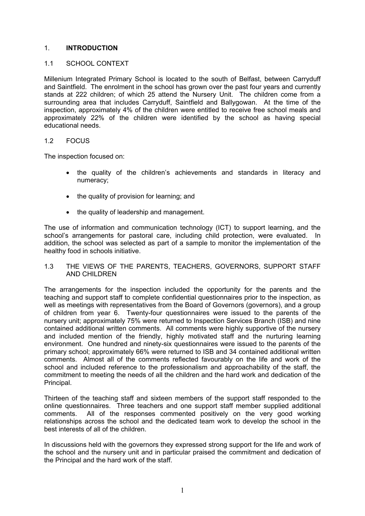#### 1. **INTRODUCTION**

#### 1.1 SCHOOL CONTEXT

Millenium Integrated Primary School is located to the south of Belfast, between Carryduff and Saintfield. The enrolment in the school has grown over the past four years and currently stands at 222 children; of which 25 attend the Nursery Unit. The children come from a surrounding area that includes Carryduff, Saintfield and Ballygowan. At the time of the inspection, approximately 4% of the children were entitled to receive free school meals and approximately 22% of the children were identified by the school as having special educational needs.

#### 1.2 FOCUS

The inspection focused on:

- the quality of the children's achievements and standards in literacy and numeracy;
- the quality of provision for learning; and
- the quality of leadership and management.

The use of information and communication technology (ICT) to support learning, and the school's arrangements for pastoral care, including child protection, were evaluated. In addition, the school was selected as part of a sample to monitor the implementation of the healthy food in schools initiative.

#### 1.3 THE VIEWS OF THE PARENTS, TEACHERS, GOVERNORS, SUPPORT STAFF AND CHILDREN

The arrangements for the inspection included the opportunity for the parents and the teaching and support staff to complete confidential questionnaires prior to the inspection, as well as meetings with representatives from the Board of Governors (governors), and a group of children from year 6. Twenty-four questionnaires were issued to the parents of the nursery unit; approximately 75% were returned to Inspection Services Branch (ISB) and nine contained additional written comments. All comments were highly supportive of the nursery and included mention of the friendly, highly motivated staff and the nurturing learning environment. One hundred and ninety-six questionnaires were issued to the parents of the primary school; approximately 66% were returned to ISB and 34 contained additional written comments. Almost all of the comments reflected favourably on the life and work of the school and included reference to the professionalism and approachability of the staff, the commitment to meeting the needs of all the children and the hard work and dedication of the Principal.

Thirteen of the teaching staff and sixteen members of the support staff responded to the online questionnaires. Three teachers and one support staff member supplied additional comments. All of the responses commented positively on the very good working relationships across the school and the dedicated team work to develop the school in the best interests of all of the children.

In discussions held with the governors they expressed strong support for the life and work of the school and the nursery unit and in particular praised the commitment and dedication of the Principal and the hard work of the staff.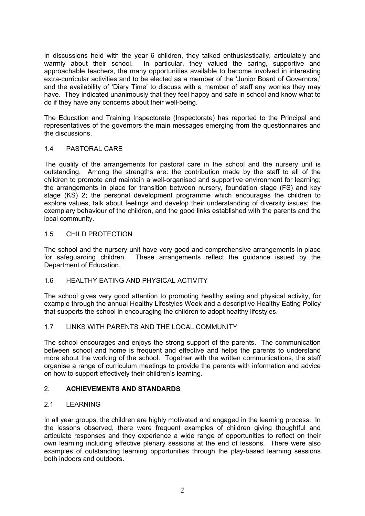In discussions held with the year 6 children, they talked enthusiastically, articulately and warmly about their school. In particular, they valued the caring, supportive and approachable teachers, the many opportunities available to become involved in interesting extra-curricular activities and to be elected as a member of the 'Junior Board of Governors,' and the availability of 'Diary Time' to discuss with a member of staff any worries they may have. They indicated unanimously that they feel happy and safe in school and know what to do if they have any concerns about their well-being.

The Education and Training Inspectorate (Inspectorate) has reported to the Principal and representatives of the governors the main messages emerging from the questionnaires and the discussions.

#### 1.4 PASTORAL CARE

The quality of the arrangements for pastoral care in the school and the nursery unit is outstanding. Among the strengths are: the contribution made by the staff to all of the children to promote and maintain a well-organised and supportive environment for learning; the arrangements in place for transition between nursery, foundation stage (FS) and key stage (KS) 2; the personal development programme which encourages the children to explore values, talk about feelings and develop their understanding of diversity issues; the exemplary behaviour of the children, and the good links established with the parents and the local community.

#### 1.5 CHILD PROTECTION

The school and the nursery unit have very good and comprehensive arrangements in place for safeguarding children. These arrangements reflect the guidance issued by the Department of Education.

#### 1.6 HEALTHY EATING AND PHYSICAL ACTIVITY

The school gives very good attention to promoting healthy eating and physical activity, for example through the annual Healthy Lifestyles Week and a descriptive Healthy Eating Policy that supports the school in encouraging the children to adopt healthy lifestyles.

#### 1.7 LINKS WITH PARENTS AND THE LOCAL COMMUNITY

The school encourages and enjoys the strong support of the parents. The communication between school and home is frequent and effective and helps the parents to understand more about the working of the school. Together with the written communications, the staff organise a range of curriculum meetings to provide the parents with information and advice on how to support effectively their children's learning.

#### 2. **ACHIEVEMENTS AND STANDARDS**

#### 2.1 LEARNING

In all year groups, the children are highly motivated and engaged in the learning process. In the lessons observed, there were frequent examples of children giving thoughtful and articulate responses and they experience a wide range of opportunities to reflect on their own learning including effective plenary sessions at the end of lessons. There were also examples of outstanding learning opportunities through the play-based learning sessions both indoors and outdoors.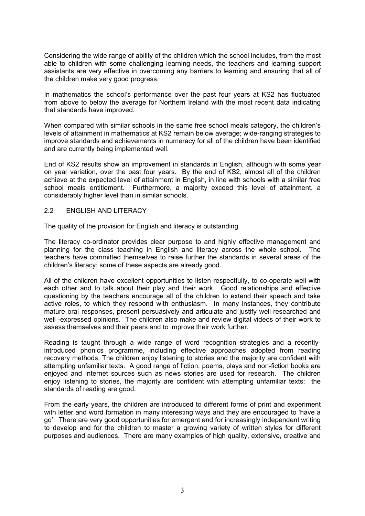Considering the wide range of ability of the children which the school includes, from the most able to children with some challenging learning needs, the teachers and learning support assistants are very effective in overcoming any barriers to learning and ensuring that all of the children make very good progress.

In mathematics the school's performance over the past four years at KS2 has fluctuated from above to below the average for Northern Ireland with the most recent data indicating that standards have improved.

When compared with similar schools in the same free school meals category, the children's levels of attainment in mathematics at KS2 remain below average; wide-ranging strategies to improve standards and achievements in numeracy for all of the children have been identified and are currently being implemented well.

End of KS2 results show an improvement in standards in English, although with some year on year variation, over the past four years. By the end of KS2, almost all of the children achieve at the expected level of attainment in English, in line with schools with a similar free school meals entitlement. Furthermore, a majority exceed this level of attainment, a considerably higher level than in similar schools.

#### 2.2 ENGLISH AND LITERACY

The quality of the provision for English and literacy is outstanding.

The literacy co-ordinator provides clear purpose to and highly effective management and planning for the class teaching in English and literacy across the whole school. The teachers have committed themselves to raise further the standards in several areas of the children's literacy; some of these aspects are already good.

All of the children have excellent opportunities to listen respectfully, to co-operate well with each other and to talk about their play and their work. Good relationships and effective questioning by the teachers encourage all of the children to extend their speech and take active roles, to which they respond with enthusiasm. In many instances, they contribute mature oral responses, present persuasively and articulate and justify well-researched and well -expressed opinions. The children also make and review digital videos of their work to assess themselves and their peers and to improve their work further.

Reading is taught through a wide range of word recognition strategies and a recentlyintroduced phonics programme, including effective approaches adopted from reading recovery methods. The children enjoy listening to stories and the majority are confident with attempting unfamiliar texts. A good range of fiction, poems, plays and non-fiction books are enjoyed and Internet sources such as news stories are used for research. The children enjoy listening to stories, the majority are confident with attempting unfamiliar texts: the standards of reading are good.

From the early years, the children are introduced to different forms of print and experiment with letter and word formation in many interesting ways and they are encouraged to 'have a go'. There are very good opportunities for emergent and for increasingly independent writing to develop and for the children to master a growing variety of written styles for different purposes and audiences. There are many examples of high quality, extensive, creative and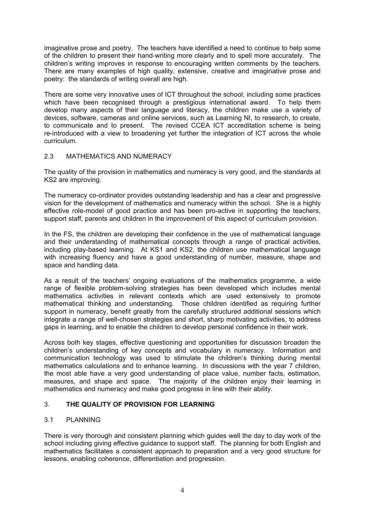imaginative prose and poetry. The teachers have identified a need to continue to help some of the children to present their hand-writing more clearly and to spell more accurately. The children's writing improves in response to encouraging written comments by the teachers. There are many examples of high quality, extensive, creative and imaginative prose and poetry: the standards of writing overall are high.

There are some very innovative uses of ICT throughout the school; including some practices which have been recognised through a prestigious international award. To help them develop many aspects of their language and literacy, the children make use a variety of devices, software, cameras and online services, such as Learning NI, to research, to create, to communicate and to present. The revised CCEA ICT accreditation scheme is being re-introduced with a view to broadening yet further the integration of ICT across the whole curriculum.

#### 2.3 MATHEMATICS AND NUMERACY

The quality of the provision in mathematics and numeracy is very good, and the standards at KS2 are improving.

The numeracy co-ordinator provides outstanding leadership and has a clear and progressive vision for the development of mathematics and numeracy within the school. She is a highly effective role-model of good practice and has been pro-active in supporting the teachers, support staff, parents and children in the improvement of this aspect of curriculum provision.

In the FS, the children are developing their confidence in the use of mathematical language and their understanding of mathematical concepts through a range of practical activities, including play-based learning. At KS1 and KS2, the children use mathematical language with increasing fluency and have a good understanding of number, measure, shape and space and handling data.

As a result of the teachers' ongoing evaluations of the mathematics programme, a wide range of flexible problem-solving strategies has been developed which includes mental mathematics activities in relevant contexts which are used extensively to promote mathematical thinking and understanding. Those children identified as requiring further support in numeracy, benefit greatly from the carefully structured additional sessions which integrate a range of well-chosen strategies and short, sharp motivating activities, to address gaps in learning, and to enable the children to develop personal confidence in their work.

Across both key stages, effective questioning and opportunities for discussion broaden the children's understanding of key concepts and vocabulary in numeracy. Information and communication technology was used to stimulate the children's thinking during mental mathematics calculations and to enhance learning. In discussions with the year 7 children, the most able have a very good understanding of place value, number facts, estimation, measures, and shape and space. The majority of the children enjoy their learning in mathematics and numeracy and make good progress in line with their ability.

#### 3. **THE QUALITY OF PROVISION FOR LEARNING**

#### 3.1 PLANNING

There is very thorough and consistent planning which guides well the day to day work of the school including giving effective guidance to support staff. The planning for both English and mathematics facilitates a consistent approach to preparation and a very good structure for lessons, enabling coherence, differentiation and progression.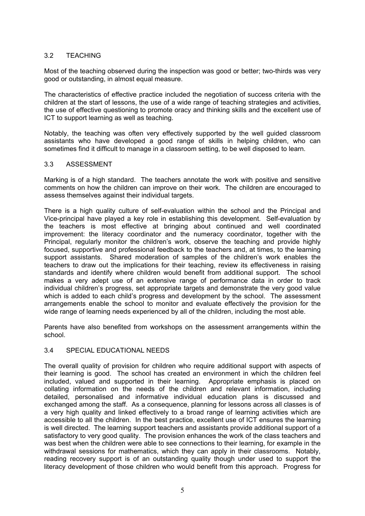### 3.2 TEACHING

Most of the teaching observed during the inspection was good or better; two-thirds was very good or outstanding, in almost equal measure.

The characteristics of effective practice included the negotiation of success criteria with the children at the start of lessons, the use of a wide range of teaching strategies and activities, the use of effective questioning to promote oracy and thinking skills and the excellent use of ICT to support learning as well as teaching.

Notably, the teaching was often very effectively supported by the well guided classroom assistants who have developed a good range of skills in helping children, who can sometimes find it difficult to manage in a classroom setting, to be well disposed to learn.

#### 3.3 ASSESSMENT

Marking is of a high standard. The teachers annotate the work with positive and sensitive comments on how the children can improve on their work. The children are encouraged to assess themselves against their individual targets.

There is a high quality culture of self-evaluation within the school and the Principal and Vice-principal have played a key role in establishing this development. Self-evaluation by the teachers is most effective at bringing about continued and well coordinated improvement: the literacy coordinator and the numeracy coordinator, together with the Principal, regularly monitor the children's work, observe the teaching and provide highly focused, supportive and professional feedback to the teachers and, at times, to the learning support assistants. Shared moderation of samples of the children's work enables the teachers to draw out the implications for their teaching, review its effectiveness in raising standards and identify where children would benefit from additional support. The school makes a very adept use of an extensive range of performance data in order to track individual children's progress, set appropriate targets and demonstrate the very good value which is added to each child's progress and development by the school. The assessment arrangements enable the school to monitor and evaluate effectively the provision for the wide range of learning needs experienced by all of the children, including the most able.

Parents have also benefited from workshops on the assessment arrangements within the school.

#### 3.4 SPECIAL EDUCATIONAL NEEDS

The overall quality of provision for children who require additional support with aspects of their learning is good. The school has created an environment in which the children feel included, valued and supported in their learning. Appropriate emphasis is placed on collating information on the needs of the children and relevant information, including detailed, personalised and informative individual education plans is discussed and exchanged among the staff. As a consequence, planning for lessons across all classes is of a very high quality and linked effectively to a broad range of learning activities which are accessible to all the children. In the best practice, excellent use of ICT ensures the learning is well directed. The learning support teachers and assistants provide additional support of a satisfactory to very good quality. The provision enhances the work of the class teachers and was best when the children were able to see connections to their learning, for example in the withdrawal sessions for mathematics, which they can apply in their classrooms. Notably, reading recovery support is of an outstanding quality though under used to support the literacy development of those children who would benefit from this approach. Progress for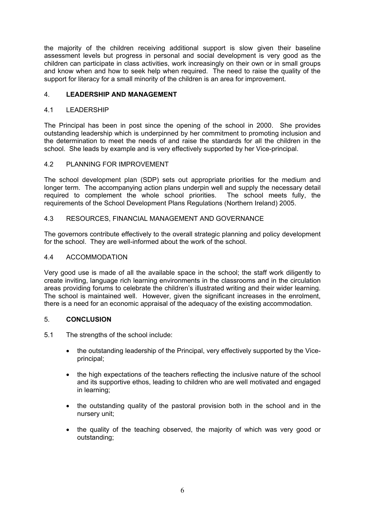the majority of the children receiving additional support is slow given their baseline assessment levels but progress in personal and social development is very good as the children can participate in class activities, work increasingly on their own or in small groups and know when and how to seek help when required. The need to raise the quality of the support for literacy for a small minority of the children is an area for improvement.

#### 4. **LEADERSHIP AND MANAGEMENT**

#### 4.1 LEADERSHIP

The Principal has been in post since the opening of the school in 2000. She provides outstanding leadership which is underpinned by her commitment to promoting inclusion and the determination to meet the needs of and raise the standards for all the children in the school. She leads by example and is very effectively supported by her Vice-principal.

#### 4.2 PLANNING FOR IMPROVEMENT

The school development plan (SDP) sets out appropriate priorities for the medium and longer term. The accompanying action plans underpin well and supply the necessary detail required to complement the whole school priorities. The school meets fully, the requirements of the School Development Plans Regulations (Northern Ireland) 2005.

#### 4.3 RESOURCES, FINANCIAL MANAGEMENT AND GOVERNANCE

The governors contribute effectively to the overall strategic planning and policy development for the school. They are well-informed about the work of the school.

#### 4.4 ACCOMMODATION

Very good use is made of all the available space in the school; the staff work diligently to create inviting, language rich learning environments in the classrooms and in the circulation areas providing forums to celebrate the children's illustrated writing and their wider learning. The school is maintained well. However, given the significant increases in the enrolment, there is a need for an economic appraisal of the adequacy of the existing accommodation.

#### 5. **CONCLUSION**

- 5.1 The strengths of the school include:
	- the outstanding leadership of the Principal, very effectively supported by the Viceprincipal;
	- the high expectations of the teachers reflecting the inclusive nature of the school and its supportive ethos, leading to children who are well motivated and engaged in learning;
	- the outstanding quality of the pastoral provision both in the school and in the nursery unit;
	- the quality of the teaching observed, the majority of which was very good or outstanding;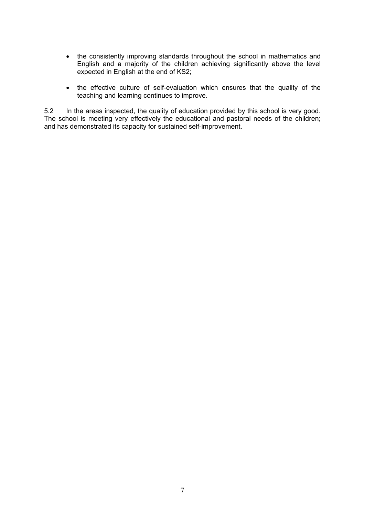- the consistently improving standards throughout the school in mathematics and English and a majority of the children achieving significantly above the level expected in English at the end of KS2;
- the effective culture of self-evaluation which ensures that the quality of the teaching and learning continues to improve.

5.2 In the areas inspected, the quality of education provided by this school is very good. The school is meeting very effectively the educational and pastoral needs of the children; and has demonstrated its capacity for sustained self-improvement.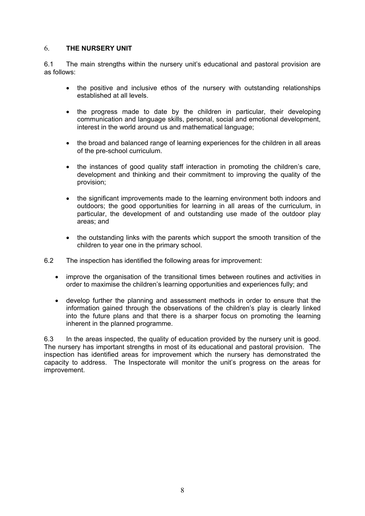#### 6. **THE NURSERY UNIT**

6.1 The main strengths within the nursery unit's educational and pastoral provision are as follows:

- the positive and inclusive ethos of the nursery with outstanding relationships established at all levels.
- the progress made to date by the children in particular, their developing communication and language skills, personal, social and emotional development, interest in the world around us and mathematical language;
- the broad and balanced range of learning experiences for the children in all areas of the pre-school curriculum.
- the instances of good quality staff interaction in promoting the children's care, development and thinking and their commitment to improving the quality of the provision;
- the significant improvements made to the learning environment both indoors and outdoors; the good opportunities for learning in all areas of the curriculum, in particular, the development of and outstanding use made of the outdoor play areas; and
- the outstanding links with the parents which support the smooth transition of the children to year one in the primary school.
- 6.2 The inspection has identified the following areas for improvement:
	- improve the organisation of the transitional times between routines and activities in order to maximise the children's learning opportunities and experiences fully; and
	- develop further the planning and assessment methods in order to ensure that the information gained through the observations of the children's play is clearly linked into the future plans and that there is a sharper focus on promoting the learning inherent in the planned programme.

6.3 In the areas inspected, the quality of education provided by the nursery unit is good. The nursery has important strengths in most of its educational and pastoral provision. The inspection has identified areas for improvement which the nursery has demonstrated the capacity to address. The Inspectorate will monitor the unit's progress on the areas for improvement.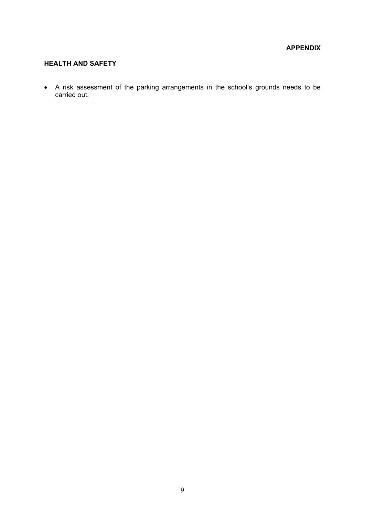#### **APPENDIX**

#### **HEALTH AND SAFETY**

 A risk assessment of the parking arrangements in the school's grounds needs to be carried out.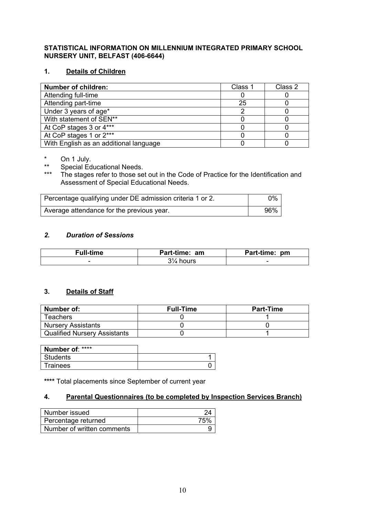#### **STATISTICAL INFORMATION ON MILLENNIUM INTEGRATED PRIMARY SCHOOL NURSERY UNIT, BELFAST (406-6644)**

### **1. Details of Children**

| <b>Number of children:</b>             | Class 1 | Class 2 |
|----------------------------------------|---------|---------|
| Attending full-time                    |         |         |
| Attending part-time                    | 25      |         |
| Under 3 years of age*                  |         |         |
| With statement of SEN**                |         |         |
| At CoP stages 3 or 4***                |         |         |
| At CoP stages 1 or 2***                |         |         |
| With English as an additional language |         |         |

 $*\n\begin{array}{ccc}\n\text{on } 1 \text{ July.} \\
\text{Second Ed}\n\end{array}$ 

\*\* Special Educational Needs.

The stages refer to those set out in the Code of Practice for the Identification and Assessment of Special Educational Needs.

| Percentage qualifying under DE admission criteria 1 or 2. | 0%  |
|-----------------------------------------------------------|-----|
| Average attendance for the previous year.                 | 96% |

#### *2. Duration of Sessions*

| Full-time | Part-time: am | Part-time: pm |
|-----------|---------------|---------------|
| -         | 31⁄4 hours    | -             |

#### **3. Details of Staff**

| Number of:                          | <b>Full-Time</b> | <b>Part-Time</b> |  |
|-------------------------------------|------------------|------------------|--|
| <b>Teachers</b>                     |                  |                  |  |
| <b>Nursery Assistants</b>           |                  |                  |  |
| <b>Qualified Nursery Assistants</b> |                  |                  |  |

| Number of: **** |  |
|-----------------|--|
| <b>Students</b> |  |
| <b>Trainees</b> |  |

**\*\*\*\*** Total placements since September of current year

### **4. Parental Questionnaires (to be completed by Inspection Services Branch)**

| Number issued              | 24  |
|----------------------------|-----|
| Percentage returned        | 75% |
| Number of written comments |     |